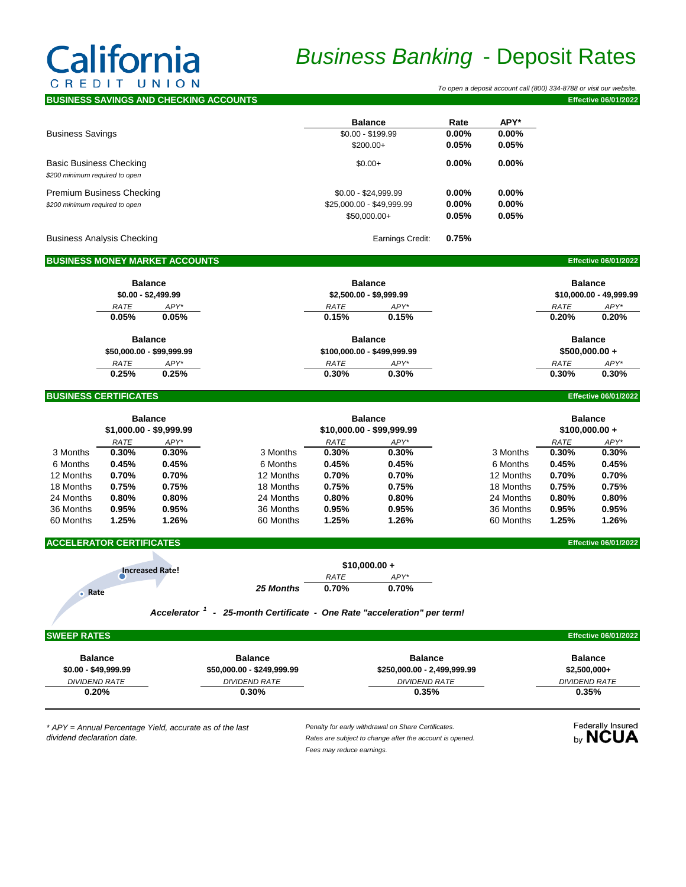# California CREDIT UNION

## *Business Banking* - Deposit Rates

 *To open a deposit account call (800) 334-8788 or visit our website.*

| <b>IBUSINESS SAVINGS AND CHECKING ACCOUNTS</b> |                           |          |          | <b>Effective 06/01/2022</b> |
|------------------------------------------------|---------------------------|----------|----------|-----------------------------|
|                                                | <b>Balance</b>            | Rate     | APY*     |                             |
| <b>Business Savings</b>                        | $$0.00 - $199.99$         | $0.00\%$ | $0.00\%$ |                             |
|                                                | $$200.00+$                | 0.05%    | 0.05%    |                             |
| <b>Basic Business Checking</b>                 | $$0.00+$                  | $0.00\%$ | $0.00\%$ |                             |
| \$200 minimum required to open                 |                           |          |          |                             |
| <b>Premium Business Checking</b>               | $$0.00 - $24.999.99$      | $0.00\%$ | $0.00\%$ |                             |
| \$200 minimum required to open                 | \$25,000.00 - \$49,999.99 | $0.00\%$ | $0.00\%$ |                             |
|                                                | $$50.000.00+$             | 0.05%    | 0.05%    |                             |
| <b>Business Analysis Checking</b>              | Earnings Credit:          | 0.75%    |          |                             |
| <b>BUSINESS MONEY MARKET ACCOUNTS</b>          |                           |          |          | <b>Effective 06/01/2022</b> |
|                                                |                           |          |          |                             |

| <b>Balance</b>              | <b>Balance</b>          |
|-----------------------------|-------------------------|
| \$2,500.00 - \$9,999.99     | \$10,000,00 - 49,999,99 |
| $APY^*$<br>RATE             | $APY^*$<br><b>RATE</b>  |
| 0.15%<br>0.15%              | 0.20%<br>0.20%          |
| <b>Balance</b>              | <b>Balance</b>          |
| \$100,000.00 - \$499,999.99 | $$500,000.00 +$         |
| $APY^*$<br>RATE             | APY*<br><b>RATE</b>     |
| 0.30%<br>0.30%              | 0.30%<br>0.30%          |
|                             |                         |

### **BUSINESS CERTIFICATES Effective 06/01/2022**

|           |             | <b>Balance</b><br>$$1,000.00 - $9,999.99$ |           | <b>Balance</b><br>$$10,000.00 - $99,999.99$ |          | <b>Balance</b><br>$$100,000.00 +$ |       |          |
|-----------|-------------|-------------------------------------------|-----------|---------------------------------------------|----------|-----------------------------------|-------|----------|
|           | <b>RATE</b> | $APY^*$                                   |           | <b>RATE</b>                                 | $APY^*$  |                                   | RATE  | APY*     |
| 3 Months  | $0.30\%$    | 0.30%                                     | 3 Months  | 0.30%                                       | 0.30%    | 3 Months                          | 0.30% | 0.30%    |
| 6 Months  | 0.45%       | 0.45%                                     | 6 Months  | 0.45%                                       | 0.45%    | 6 Months                          | 0.45% | 0.45%    |
| 12 Months | 0.70%       | 0.70%                                     | 12 Months | 0.70%                                       | 0.70%    | 12 Months                         | 0.70% | 0.70%    |
| 18 Months | 0.75%       | 0.75%                                     | 18 Months | 0.75%                                       | 0.75%    | 18 Months                         | 0.75% | 0.75%    |
| 24 Months | $0.80\%$    | $0.80\%$                                  | 24 Months | 0.80%                                       | $0.80\%$ | 24 Months                         | 0.80% | $0.80\%$ |
| 36 Months | 0.95%       | 0.95%                                     | 36 Months | 0.95%                                       | 0.95%    | 36 Months                         | 0.95% | 0.95%    |
| 60 Months | 1.25%       | 1.26%                                     | 60 Months | 1.25%                                       | 1.26%    | 60 Months                         | 1.25% | 1.26%    |

## **ACCELERATOR CERTIFICATES Effective 06/01/2022**

| <b>Increased Rate!</b> | $$10,000.00 +$ |             |       |
|------------------------|----------------|-------------|-------|
|                        |                | <b>RATE</b> | APY*  |
| . Rate                 | 25 Months      | 0.70%       | 0.70% |

*Accelerator 1 - 25-month Certificate - One Rate "acceleration" per term!*

### **SWEEP RATES Effective 06/01/2022**

| <b>Balance</b>       | <b>Balance</b>             | <b>Balance</b>              | <b>Balance</b> |
|----------------------|----------------------------|-----------------------------|----------------|
| $$0.00 - $49,999.99$ | \$50,000.00 - \$249,999.99 | \$250,000.00 - 2,499,999.99 | $$2,500,000+$  |
| DIVIDEND RATE        | DIVIDEND RATE              | DIVIDEND RATE               | DIVIDEND RATE  |
| 0.20%                | $0.30\%$                   | 0.35%                       | 0.35%          |

*\* APY = Annual Percentage Yield, accurate as of the last dividend declaration date.*

*Penalty for early withdrawal on Share Certificates. Rates are subject to change after the account is opened. Fees may reduce earnings.*